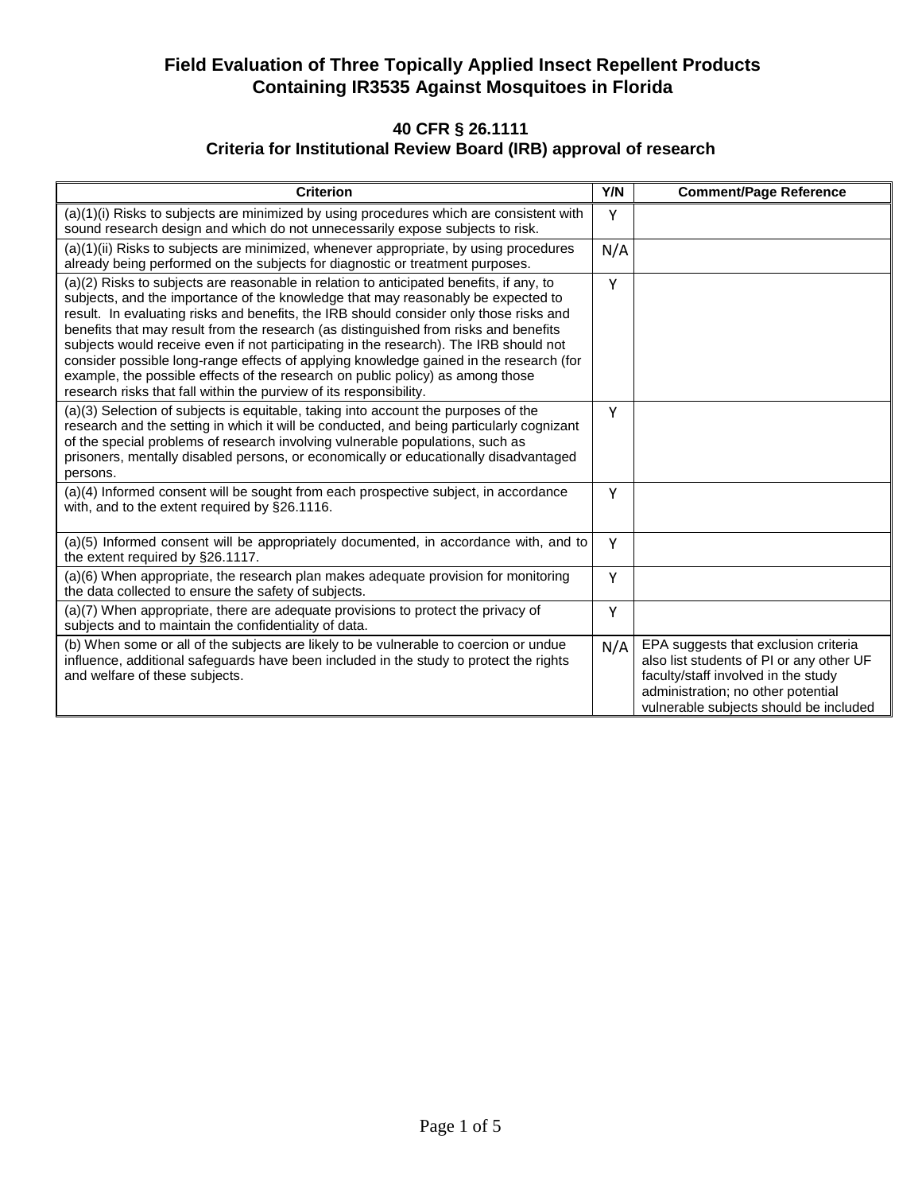#### **40 CFR § 26.1111 Criteria for Institutional Review Board (IRB) approval of research**

| <b>Criterion</b>                                                                                                                                                                                                                                                                                                                                                                                                                                                                                                                                                                                                                                                                                         | Y/N | <b>Comment/Page Reference</b>                                                                                                                                                                           |
|----------------------------------------------------------------------------------------------------------------------------------------------------------------------------------------------------------------------------------------------------------------------------------------------------------------------------------------------------------------------------------------------------------------------------------------------------------------------------------------------------------------------------------------------------------------------------------------------------------------------------------------------------------------------------------------------------------|-----|---------------------------------------------------------------------------------------------------------------------------------------------------------------------------------------------------------|
| (a)(1)(i) Risks to subjects are minimized by using procedures which are consistent with<br>sound research design and which do not unnecessarily expose subjects to risk.                                                                                                                                                                                                                                                                                                                                                                                                                                                                                                                                 | Y   |                                                                                                                                                                                                         |
| (a)(1)(ii) Risks to subjects are minimized, whenever appropriate, by using procedures<br>already being performed on the subjects for diagnostic or treatment purposes.                                                                                                                                                                                                                                                                                                                                                                                                                                                                                                                                   | N/A |                                                                                                                                                                                                         |
| (a)(2) Risks to subjects are reasonable in relation to anticipated benefits, if any, to<br>subjects, and the importance of the knowledge that may reasonably be expected to<br>result. In evaluating risks and benefits, the IRB should consider only those risks and<br>benefits that may result from the research (as distinguished from risks and benefits<br>subjects would receive even if not participating in the research). The IRB should not<br>consider possible long-range effects of applying knowledge gained in the research (for<br>example, the possible effects of the research on public policy) as among those<br>research risks that fall within the purview of its responsibility. | Y   |                                                                                                                                                                                                         |
| (a)(3) Selection of subjects is equitable, taking into account the purposes of the<br>research and the setting in which it will be conducted, and being particularly cognizant<br>of the special problems of research involving vulnerable populations, such as<br>prisoners, mentally disabled persons, or economically or educationally disadvantaged<br>persons.                                                                                                                                                                                                                                                                                                                                      | Y   |                                                                                                                                                                                                         |
| (a)(4) Informed consent will be sought from each prospective subject, in accordance<br>with, and to the extent required by §26.1116.                                                                                                                                                                                                                                                                                                                                                                                                                                                                                                                                                                     | Υ   |                                                                                                                                                                                                         |
| (a)(5) Informed consent will be appropriately documented, in accordance with, and to<br>the extent required by §26.1117.                                                                                                                                                                                                                                                                                                                                                                                                                                                                                                                                                                                 | Y   |                                                                                                                                                                                                         |
| (a)(6) When appropriate, the research plan makes adequate provision for monitoring<br>the data collected to ensure the safety of subjects.                                                                                                                                                                                                                                                                                                                                                                                                                                                                                                                                                               | Υ   |                                                                                                                                                                                                         |
| (a)(7) When appropriate, there are adequate provisions to protect the privacy of<br>subjects and to maintain the confidentiality of data.                                                                                                                                                                                                                                                                                                                                                                                                                                                                                                                                                                | Y   |                                                                                                                                                                                                         |
| (b) When some or all of the subjects are likely to be vulnerable to coercion or undue<br>influence, additional safeguards have been included in the study to protect the rights<br>and welfare of these subjects.                                                                                                                                                                                                                                                                                                                                                                                                                                                                                        | N/A | EPA suggests that exclusion criteria<br>also list students of PI or any other UF<br>faculty/staff involved in the study<br>administration; no other potential<br>vulnerable subjects should be included |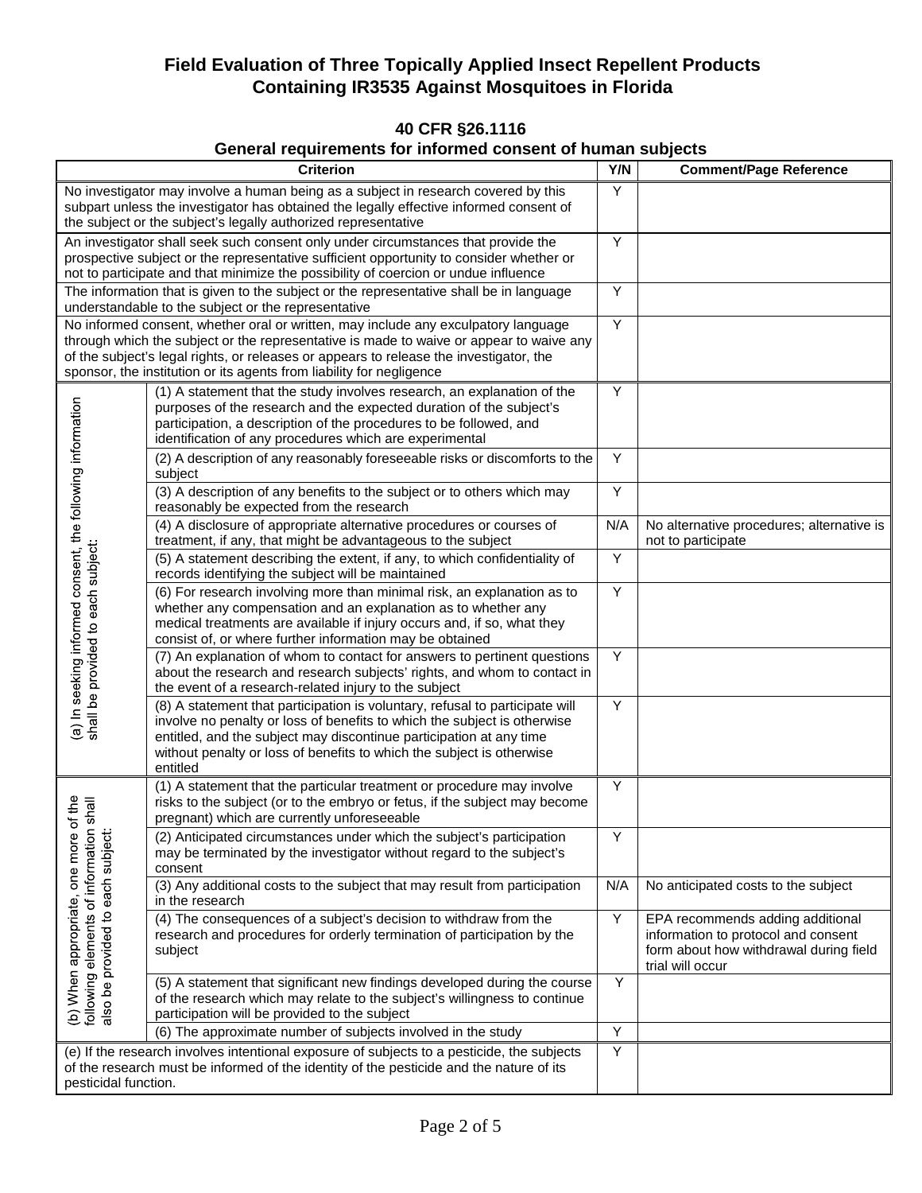### **40 CFR §26.1116**

# **General requirements for informed consent of human subjects**

| <b>Criterion</b>                                                                                                                                                                                                                                                    |                                                                                                                                                                                                                                                                                                                                                 | Y/N            | <b>Comment/Page Reference</b>                                                                                                         |
|---------------------------------------------------------------------------------------------------------------------------------------------------------------------------------------------------------------------------------------------------------------------|-------------------------------------------------------------------------------------------------------------------------------------------------------------------------------------------------------------------------------------------------------------------------------------------------------------------------------------------------|----------------|---------------------------------------------------------------------------------------------------------------------------------------|
|                                                                                                                                                                                                                                                                     | No investigator may involve a human being as a subject in research covered by this<br>subpart unless the investigator has obtained the legally effective informed consent of<br>the subject or the subject's legally authorized representative                                                                                                  | Υ              |                                                                                                                                       |
| An investigator shall seek such consent only under circumstances that provide the<br>prospective subject or the representative sufficient opportunity to consider whether or<br>not to participate and that minimize the possibility of coercion or undue influence |                                                                                                                                                                                                                                                                                                                                                 | Y              |                                                                                                                                       |
|                                                                                                                                                                                                                                                                     | The information that is given to the subject or the representative shall be in language<br>understandable to the subject or the representative                                                                                                                                                                                                  | Υ              |                                                                                                                                       |
|                                                                                                                                                                                                                                                                     | No informed consent, whether oral or written, may include any exculpatory language<br>through which the subject or the representative is made to waive or appear to waive any<br>of the subject's legal rights, or releases or appears to release the investigator, the<br>sponsor, the institution or its agents from liability for negligence | Y              |                                                                                                                                       |
|                                                                                                                                                                                                                                                                     | (1) A statement that the study involves research, an explanation of the<br>purposes of the research and the expected duration of the subject's<br>participation, a description of the procedures to be followed, and<br>identification of any procedures which are experimental                                                                 | Υ              |                                                                                                                                       |
|                                                                                                                                                                                                                                                                     | (2) A description of any reasonably foreseeable risks or discomforts to the<br>subject                                                                                                                                                                                                                                                          | Υ              |                                                                                                                                       |
|                                                                                                                                                                                                                                                                     | (3) A description of any benefits to the subject or to others which may<br>reasonably be expected from the research                                                                                                                                                                                                                             | Υ              |                                                                                                                                       |
|                                                                                                                                                                                                                                                                     | (4) A disclosure of appropriate alternative procedures or courses of<br>treatment, if any, that might be advantageous to the subject                                                                                                                                                                                                            | N/A            | No alternative procedures; alternative is<br>not to participate                                                                       |
|                                                                                                                                                                                                                                                                     | (5) A statement describing the extent, if any, to which confidentiality of<br>records identifying the subject will be maintained                                                                                                                                                                                                                | Y              |                                                                                                                                       |
| (a) In seeking informed consent, the following information<br>shall be provided to each subject:                                                                                                                                                                    | (6) For research involving more than minimal risk, an explanation as to<br>whether any compensation and an explanation as to whether any<br>medical treatments are available if injury occurs and, if so, what they<br>consist of, or where further information may be obtained                                                                 | Y              |                                                                                                                                       |
|                                                                                                                                                                                                                                                                     | (7) An explanation of whom to contact for answers to pertinent questions<br>about the research and research subjects' rights, and whom to contact in<br>the event of a research-related injury to the subject                                                                                                                                   | Υ              |                                                                                                                                       |
|                                                                                                                                                                                                                                                                     | (8) A statement that participation is voluntary, refusal to participate will<br>involve no penalty or loss of benefits to which the subject is otherwise<br>entitled, and the subject may discontinue participation at any time<br>without penalty or loss of benefits to which the subject is otherwise<br>entitled                            | Y              |                                                                                                                                       |
| of the<br>shall<br>following elements of information<br>(b) When appropriate, one more<br>also be provided to each subject                                                                                                                                          | (1) A statement that the particular treatment or procedure may involve<br>risks to the subject (or to the embryo or fetus, if the subject may become<br>pregnant) which are currently unforeseeable                                                                                                                                             | Y              |                                                                                                                                       |
|                                                                                                                                                                                                                                                                     | (2) Anticipated circumstances under which the subject's participation<br>may be terminated by the investigator without regard to the subject's<br>consent                                                                                                                                                                                       | Υ              |                                                                                                                                       |
|                                                                                                                                                                                                                                                                     | (3) Any additional costs to the subject that may result from participation<br>in the research                                                                                                                                                                                                                                                   | N/A            | No anticipated costs to the subject                                                                                                   |
|                                                                                                                                                                                                                                                                     | (4) The consequences of a subject's decision to withdraw from the<br>research and procedures for orderly termination of participation by the<br>subject                                                                                                                                                                                         | Υ              | EPA recommends adding additional<br>information to protocol and consent<br>form about how withdrawal during field<br>trial will occur |
|                                                                                                                                                                                                                                                                     | (5) A statement that significant new findings developed during the course<br>of the research which may relate to the subject's willingness to continue<br>participation will be provided to the subject                                                                                                                                         | Y              |                                                                                                                                       |
|                                                                                                                                                                                                                                                                     | (6) The approximate number of subjects involved in the study                                                                                                                                                                                                                                                                                    | $\overline{Y}$ |                                                                                                                                       |
| pesticidal function.                                                                                                                                                                                                                                                | (e) If the research involves intentional exposure of subjects to a pesticide, the subjects<br>of the research must be informed of the identity of the pesticide and the nature of its                                                                                                                                                           | Y              |                                                                                                                                       |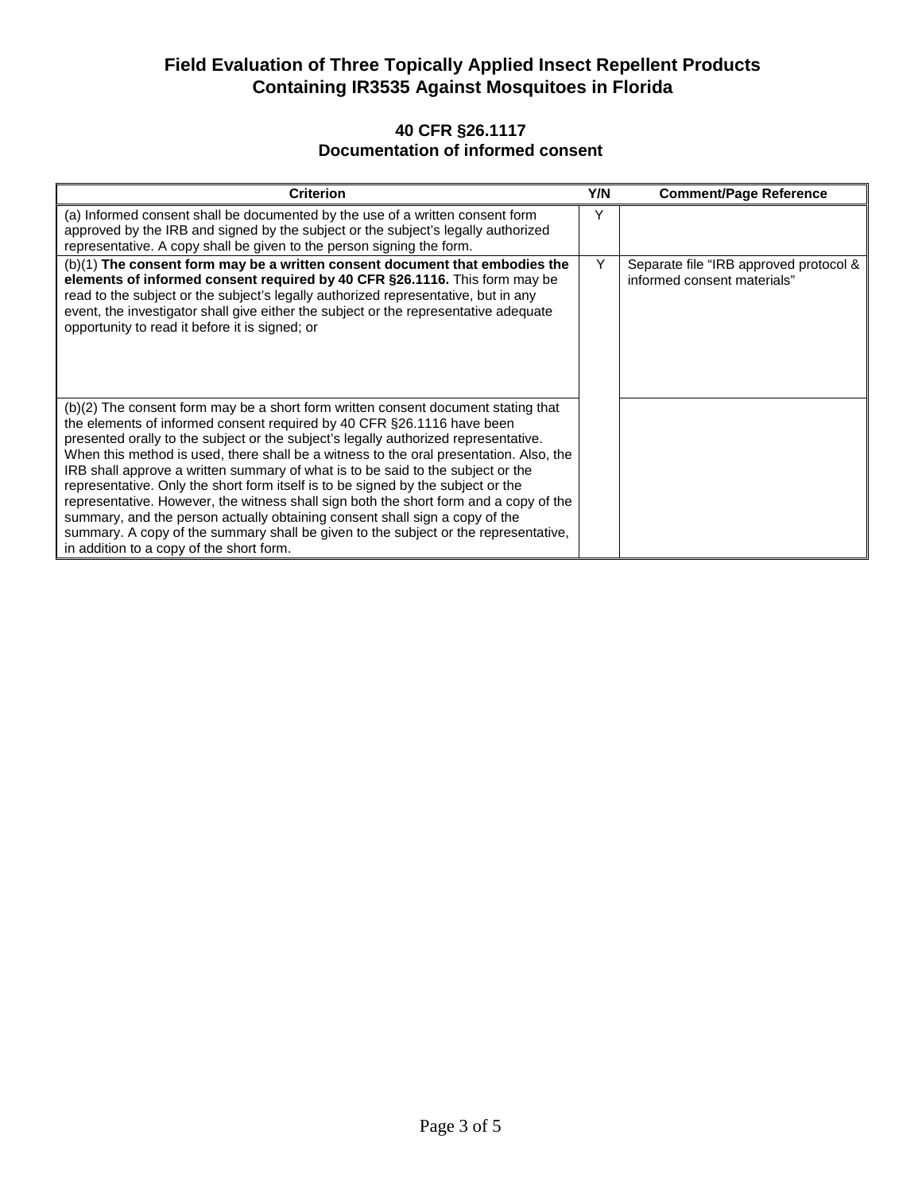#### **40 CFR §26.1117 Documentation of informed consent**

| <b>Criterion</b>                                                                                                                                                                                                                                                                                                                                                                                                                                                                                                                                                                                                                                                                                                                                                                                                               | Y/N | <b>Comment/Page Reference</b>                                         |
|--------------------------------------------------------------------------------------------------------------------------------------------------------------------------------------------------------------------------------------------------------------------------------------------------------------------------------------------------------------------------------------------------------------------------------------------------------------------------------------------------------------------------------------------------------------------------------------------------------------------------------------------------------------------------------------------------------------------------------------------------------------------------------------------------------------------------------|-----|-----------------------------------------------------------------------|
| (a) Informed consent shall be documented by the use of a written consent form<br>approved by the IRB and signed by the subject or the subject's legally authorized<br>representative. A copy shall be given to the person signing the form.                                                                                                                                                                                                                                                                                                                                                                                                                                                                                                                                                                                    | Y   |                                                                       |
| (b)(1) The consent form may be a written consent document that embodies the<br>elements of informed consent required by 40 CFR §26.1116. This form may be<br>read to the subject or the subject's legally authorized representative, but in any<br>event, the investigator shall give either the subject or the representative adequate<br>opportunity to read it before it is signed; or                                                                                                                                                                                                                                                                                                                                                                                                                                      | Y   | Separate file "IRB approved protocol &<br>informed consent materials" |
| (b)(2) The consent form may be a short form written consent document stating that<br>the elements of informed consent required by 40 CFR §26.1116 have been<br>presented orally to the subject or the subject's legally authorized representative.<br>When this method is used, there shall be a witness to the oral presentation. Also, the<br>IRB shall approve a written summary of what is to be said to the subject or the<br>representative. Only the short form itself is to be signed by the subject or the<br>representative. However, the witness shall sign both the short form and a copy of the<br>summary, and the person actually obtaining consent shall sign a copy of the<br>summary. A copy of the summary shall be given to the subject or the representative,<br>in addition to a copy of the short form. |     |                                                                       |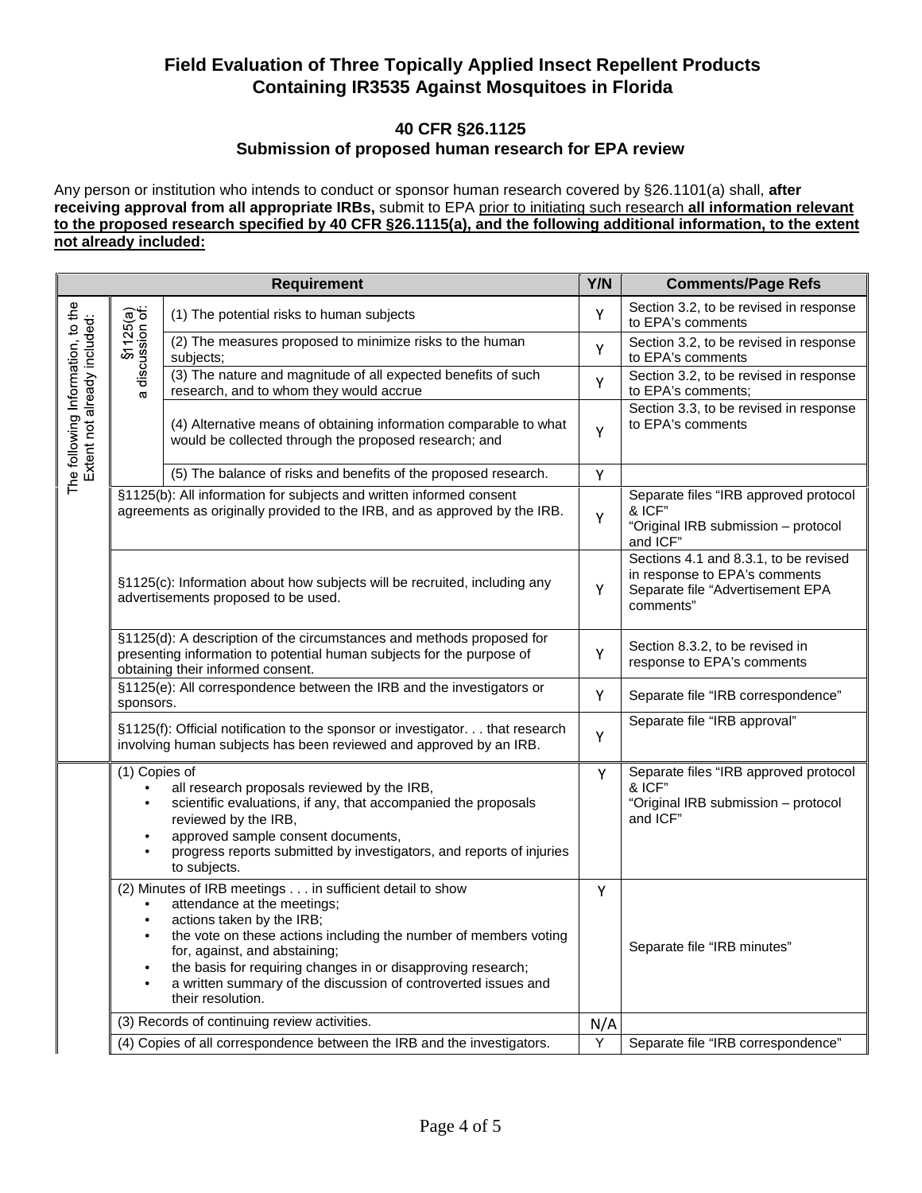#### **40 CFR §26.1125 Submission of proposed human research for EPA review**

Any person or institution who intends to conduct or sponsor human research covered by §26.1101(a) shall, **after receiving approval from all appropriate IRBs,** submit to EPA prior to initiating such research **all information relevant to the proposed research specified by 40 CFR §26.1115(a), and the following additional information, to the extent not already included:**

| Requirement                                                       |                                                                                                                                                                                     | Y/N                                                                                                                                                                                                                                                                                                                                                                              | <b>Comments/Page Refs</b> |                                                                                                                         |
|-------------------------------------------------------------------|-------------------------------------------------------------------------------------------------------------------------------------------------------------------------------------|----------------------------------------------------------------------------------------------------------------------------------------------------------------------------------------------------------------------------------------------------------------------------------------------------------------------------------------------------------------------------------|---------------------------|-------------------------------------------------------------------------------------------------------------------------|
| The following Information, to the<br>Extent not already included: | S1125(a)<br>discussion of:<br>$\sigma$                                                                                                                                              | (1) The potential risks to human subjects                                                                                                                                                                                                                                                                                                                                        | Y                         | Section 3.2, to be revised in response<br>to EPA's comments                                                             |
|                                                                   |                                                                                                                                                                                     | (2) The measures proposed to minimize risks to the human<br>subjects;                                                                                                                                                                                                                                                                                                            | Y                         | Section 3.2, to be revised in response<br>to EPA's comments                                                             |
|                                                                   |                                                                                                                                                                                     | (3) The nature and magnitude of all expected benefits of such<br>research, and to whom they would accrue                                                                                                                                                                                                                                                                         | Y                         | Section 3.2, to be revised in response<br>to EPA's comments;                                                            |
|                                                                   |                                                                                                                                                                                     | (4) Alternative means of obtaining information comparable to what<br>would be collected through the proposed research; and                                                                                                                                                                                                                                                       | Y                         | Section 3.3, to be revised in response<br>to EPA's comments                                                             |
|                                                                   |                                                                                                                                                                                     | (5) The balance of risks and benefits of the proposed research.                                                                                                                                                                                                                                                                                                                  | Υ                         |                                                                                                                         |
|                                                                   |                                                                                                                                                                                     | §1125(b): All information for subjects and written informed consent<br>agreements as originally provided to the IRB, and as approved by the IRB.                                                                                                                                                                                                                                 | Υ                         | Separate files "IRB approved protocol<br>& ICF"<br>"Original IRB submission - protocol<br>and ICF"                      |
|                                                                   | §1125(c): Information about how subjects will be recruited, including any<br>advertisements proposed to be used.                                                                    |                                                                                                                                                                                                                                                                                                                                                                                  | Υ                         | Sections 4.1 and 8.3.1, to be revised<br>in response to EPA's comments<br>Separate file "Advertisement EPA<br>comments" |
|                                                                   | §1125(d): A description of the circumstances and methods proposed for<br>presenting information to potential human subjects for the purpose of<br>obtaining their informed consent. |                                                                                                                                                                                                                                                                                                                                                                                  | Y                         | Section 8.3.2, to be revised in<br>response to EPA's comments                                                           |
|                                                                   | sponsors.                                                                                                                                                                           | §1125(e): All correspondence between the IRB and the investigators or                                                                                                                                                                                                                                                                                                            | Y                         | Separate file "IRB correspondence"                                                                                      |
|                                                                   |                                                                                                                                                                                     | §1125(f): Official notification to the sponsor or investigator. that research<br>involving human subjects has been reviewed and approved by an IRB.                                                                                                                                                                                                                              | Y                         | Separate file "IRB approval"                                                                                            |
|                                                                   | (1) Copies of<br>$\bullet$<br>$\bullet$<br>$\bullet$                                                                                                                                | all research proposals reviewed by the IRB,<br>scientific evaluations, if any, that accompanied the proposals<br>reviewed by the IRB,<br>approved sample consent documents,<br>progress reports submitted by investigators, and reports of injuries<br>to subjects.                                                                                                              | Y                         | Separate files "IRB approved protocol<br>& ICF"<br>"Original IRB submission - protocol<br>and ICF"                      |
|                                                                   | $\bullet$<br>$\bullet$<br>$\bullet$<br>$\bullet$                                                                                                                                    | (2) Minutes of IRB meetings in sufficient detail to show<br>attendance at the meetings;<br>actions taken by the IRB;<br>the vote on these actions including the number of members voting<br>for, against, and abstaining;<br>the basis for requiring changes in or disapproving research;<br>a written summary of the discussion of controverted issues and<br>their resolution. | Υ                         | Separate file "IRB minutes"                                                                                             |
|                                                                   |                                                                                                                                                                                     | (3) Records of continuing review activities.                                                                                                                                                                                                                                                                                                                                     | N/A                       |                                                                                                                         |
|                                                                   |                                                                                                                                                                                     | (4) Copies of all correspondence between the IRB and the investigators.                                                                                                                                                                                                                                                                                                          | Y                         | Separate file "IRB correspondence"                                                                                      |